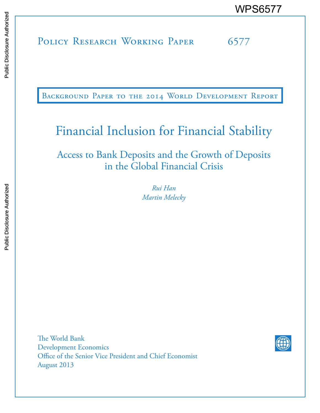POLICY RESEARCH WORKING PAPER 6577 WPS6577<br>
MESSEARCH WORKING PAPER<br>
SERIES<br>
THE COLICY RESEARCH WORKING PAPER<br>
SERIES OF COLICY RESEARCH WORKING PAPER<br>
THE COLICY RESEARCH WORKING PAPER

BACKGROUND PAPER TO THE 2014 WORLD DEVELOPMENT REPORT

# Financial Inclusion for Financial Stability

Access to Bank Deposits and the Growth of Deposits in the Global Financial Crisis

> *Rui Han Martin Melecky*

The World Bank Development Economics Office of the Senior Vice President and Chief Economist August 2013

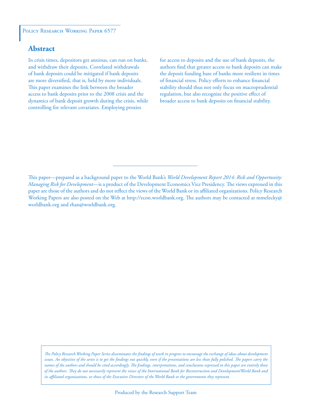#### POLICY RESEARCH WORKING PAPER 6577

#### **Abstract**

In crisis times, depositors get anxious, can run on banks, and withdraw their deposits. Correlated withdrawals of bank deposits could be mitigated if bank deposits are more diversified, that is, held by more individuals. This paper examines the link between the broader access to bank deposits prior to the 2008 crisis and the dynamics of bank deposit growth during the crisis, while controlling for relevant covariates. Employing proxies

for access to deposits and the use of bank deposits, the authors find that greater access to bank deposits can make the deposit funding base of banks more resilient in times of financial stress. Policy efforts to enhance financial stability should thus not only focus on macroprudential regulation, but also recognize the positive effect of broader access to bank deposits on financial stability.

This paper—prepared as a background paper to the World Bank's *World Development Report 2014: Risk and Opportunity: Managing Risk for Development*—is a product of the Development Economics Vice Presidency. The views expressed in this paper are those of the authors and do not reflect the views of the World Bank or its affiliated organizations. Policy Research Working Papers are also posted on the Web at http://econ.worldbank.org. The authors may be contacted at mmelecky@ worldbank.org and rhan@worldbank.org.

*The Policy Research Working Paper Series disseminates the findings of work in progress to encourage the exchange of ideas about development*  issues. An objective of the series is to get the findings out quickly, even if the presentations are less than fully polished. The papers carry the *names of the authors and should be cited accordingly. The findings, interpretations, and conclusions expressed in this paper are entirely those of the authors. They do not necessarily represent the views of the International Bank for Reconstruction and Development/World Bank and its affiliated organizations, or those of the Executive Directors of the World Bank or the governments they represent.*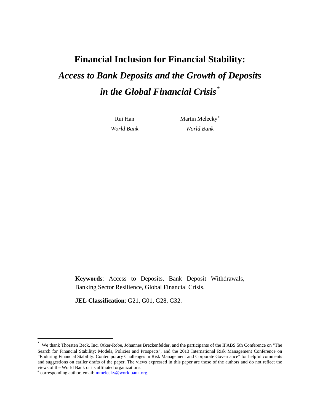# **Financial Inclusion for Financial Stability:**  *Access to Bank Deposits and the Growth of Deposits in the Global Financial Crisis\**

Rui Han *World Bank*  Martin Melecky<sup>#</sup> *World Bank* 

**Keywords**: Access to Deposits, Bank Deposit Withdrawals, Banking Sector Resilience, Global Financial Crisis.

**JEL Classification**: G21, G01, G28, G32.

l

We thank Thorsten Beck, Inci Otker-Robe, Johannes Breckenfelder, and the participants of the IFABS 5th Conference on "The Search for Financial Stability: Models, Policies and Prospects", and the 2013 International Risk Management Conference on "Enduring Financial Stability: Contemporary Challenges in Risk Management and Corporate Governance" for helpful comments and suggestions on earlier drafts of the paper. The views expressed in this paper are those of the authors and do not reflect the views of the World Bank or its affiliated organizations.

<sup>#</sup> corresponding author, email: mmelecky@worldbank.org.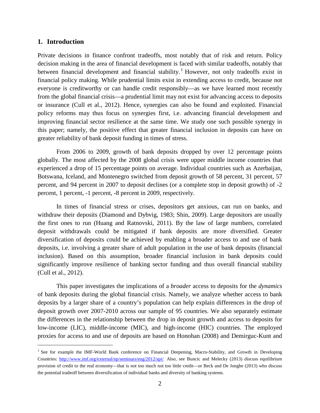#### **1. Introduction**

 $\overline{\phantom{a}}$ 

Private decisions in finance confront tradeoffs, most notably that of risk and return. Policy decision making in the area of financial development is faced with similar tradeoffs, notably that between financial development and financial stability.<sup>[1](#page-3-0)</sup> However, not only tradeoffs exist in financial policy making. While prudential limits exist in extending access to credit, because not everyone is creditworthy or can handle credit responsibly—as we have learned most recently from the global financial crisis—a prudential limit may not exist for advancing access to deposits or insurance (Cull et al., 2012). Hence, synergies can also be found and exploited. Financial policy reforms may thus focus on synergies first, i.e. advancing financial development and improving financial sector resilience at the same time. We study one such possible synergy in this paper; namely, the positive effect that greater financial inclusion in deposits can have on greater reliability of bank deposit funding in times of stress.

From 2006 to 2009, growth of bank deposits dropped by over 12 percentage points globally. The most affected by the 2008 global crisis were upper middle income countries that experienced a drop of 15 percentage points on average. Individual countries such as Azerbaijan, Botswana, Iceland, and Montenegro switched from deposit growth of 58 percent, 31 percent, 57 percent, and 94 percent in 2007 to deposit declines (or a complete stop in deposit growth) of -2 percent, 1 percent, -1 percent, -8 percent in 2009, respectively.

In times of financial stress or crises, depositors get anxious, can run on banks, and withdraw their deposits (Diamond and Dybvig, 1983; Shin, 2009). Large depositors are usually the first ones to run (Huang and Ratnovski, 2011). By the law of large numbers, correlated deposit withdrawals could be mitigated if bank deposits are more diversified. Greater diversification of deposits could be achieved by enabling a broader access to and use of bank deposits, i.e. involving a greater share of adult population in the use of bank deposits (financial inclusion). Based on this assumption, broader financial inclusion in bank deposits could significantly improve resilience of banking sector funding and thus overall financial stability (Cull et al., 2012).

This paper investigates the implications of a *broader* access to deposits for the *dynamics* of bank deposits during the global financial crisis. Namely, we analyze whether access to bank deposits by a larger share of a country's population can help explain differences in the drop of deposit growth over 2007-2010 across our sample of 95 countries. We also separately estimate the differences in the relationship between the drop in deposit growth and access to deposits for low-income (LIC), middle-income (MIC), and high-income (HIC) countries. The employed proxies for access to and use of deposits are based on Honohan (2008) and Demirguc-Kunt and

<span id="page-3-0"></span><sup>&</sup>lt;sup>1</sup> See for example the IMF-World Bank conference on Financial Deepening, Macro-Stability, and Growth in Developing Countries: [http://www.imf.org/external/np/seminars/eng/2012/spr/.](http://www.imf.org/external/np/seminars/eng/2012/spr/) Also, see Buncic and Melecky (2013) discuss equilibrium provision of credit to the real economy—that is not too much not too little credit—or Beck and De Jonghe (2013) who discuss the potential tradeoff between diversification of individual banks and diversity of banking systems.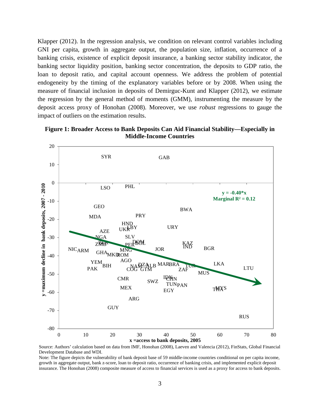Klapper (2012). In the regression analysis, we condition on relevant control variables including GNI per capita, growth in aggregate output, the population size, inflation, occurrence of a banking crisis, existence of explicit deposit insurance, a banking sector stability indicator, the banking sector liquidity position, banking sector concentration, the deposits to GDP ratio, the loan to deposit ratio, and capital account openness. We address the problem of potential endogeneity by the timing of the explanatory variables before or by 2008. When using the measure of financial inclusion in deposits of Demirguc-Kunt and Klapper (2012), we estimate the regression by the general method of moments (GMM), instrumenting the measure by the deposit access proxy of Honohan (2008). Moreover, we use *robust* regressions to gauge the impact of outliers on the estimation results.



**Figure 1: Broader Access to Bank Deposits Can Aid Financial Stability—Especially in Middle-Income Countries**

Source: Authors' calculation based on data from IMF, Honohan (2008), Laeven and Valencia (2012), FinStats, Global Financial Development Database and WDI.

Note: The figure depicts the vulnerability of bank deposit base of 59 middle-income countries conditional on per capita income, growth in aggregate output, bank z-score, loan to deposit ratio, occurrence of banking crisis, and implemented explicit deposit insurance. The Honohan (2008) composite measure of access to financial services is used as a proxy for access to bank deposits.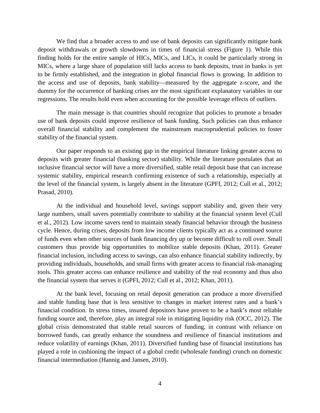We find that a broader access to and use of bank deposits can significantly mitigate bank deposit withdrawals or growth slowdowns in times of financial stress (Figure 1). While this finding holds for the entire sample of HICs, MICs, and LICs, it could be particularly strong in MICs, where a large share of population still lacks access to bank deposits, trust in banks is yet to be firmly established, and the integration in global financial flows is growing. In addition to the access and use of deposits, bank stability—measured by the aggregate z-score, and the dummy for the occurrence of banking crises are the most significant explanatory variables in our regressions. The results hold even when accounting for the possible leverage effects of outliers.

The main message is that countries should recognize that policies to promote a broader use of bank deposits could improve resilience of bank funding. Such policies can thus enhance overall financial stability and complement the mainstream macroprudential policies to foster stability of the financial system.

Our paper responds to an existing gap in the empirical literature linking greater access to deposits with greater financial (banking sector) stability. While the literature postulates that an inclusive financial sector will have a more diversified, stable retail deposit base that can increase systemic stability, empirical research confirming existence of such a relationship, especially at the level of the financial system, is largely absent in the literature (GPFI, 2012; Cull et al., 2012; Prasad, 2010).

At the individual and household level, savings support stability and, given their very large numbers, small savers potentially contribute to stability at the financial system level (Cull et al., 2012). Low income savers tend to maintain steady financial behavior through the business cycle. Hence, during crises, deposits from low income clients typically act as a continued source of funds even when other sources of bank financing dry up or become difficult to roll over. Small customers thus provide big opportunities to mobilize stable deposits (Khan, 2011). Greater financial inclusion, including access to savings, can also enhance financial stability indirectly, by providing individuals, households, and small firms with greater access to financial risk-managing tools. This greater access can enhance resilience and stability of the real economy and thus also the financial system that serves it (GPFI, 2012; Cull et al., 2012; Khan, 2011).

At the bank level, focusing on retail deposit generation can produce a more diversified and stable funding base that is less sensitive to changes in market interest rates and a bank's financial condition. In stress times, insured depositors have proven to be a bank's most reliable funding source and, therefore, play an integral role in mitigating liquidity risk (OCC, 2012). The global crisis demonstrated that stable retail sources of funding, in contrast with reliance on borrowed funds, can greatly enhance the soundness and resilience of financial institutions and reduce volatility of earnings (Khan, 2011). Diversified funding base of financial institutions has played a role in cushioning the impact of a global credit (wholesale funding) crunch on domestic financial intermediation (Hannig and Jansen, 2010).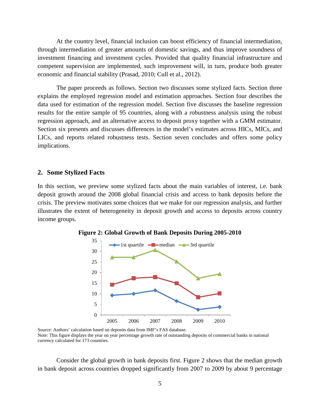At the country level, financial inclusion can boost efficiency of financial intermediation, through intermediation of greater amounts of domestic savings, and thus improve soundness of investment financing and investment cycles. Provided that quality financial infrastructure and competent supervision are implemented, such improvement will, in turn, produce both greater economic and financial stability (Prasad, 2010; Cull et al., 2012).

The paper proceeds as follows. Section two discusses some stylized facts. Section three explains the employed regression model and estimation approaches. Section four describes the data used for estimation of the regression model. Section five discusses the baseline regression results for the entire sample of 95 countries, along with a robustness analysis using the robust regression approach, and an alternative access to deposit proxy together with a GMM estimator. Section six presents and discusses differences in the model's estimates across HICs, MICs, and LICs, and reports related robustness tests. Section seven concludes and offers some policy implications.

#### **2. Some Stylized Facts**

In this section, we preview some stylized facts about the main variables of interest, i.e. bank deposit growth around the 2008 global financial crisis and access to bank deposits before the crisis. The preview motivates some choices that we make for our regression analysis, and further illustrates the extent of heterogeneity in deposit growth and access to deposits across country income groups.



**Figure 2: Global Growth of Bank Deposits During 2005-2010**

Source: Authors' calculation based on deposits data from IMF's FAS database. Note: This figure displays the year on year percentage growth rate of outstanding deposits of commercial banks in national currency calculated for 173 countries.

Consider the global growth in bank deposits first. Figure 2 shows that the median growth in bank deposit across countries dropped significantly from 2007 to 2009 by about 9 percentage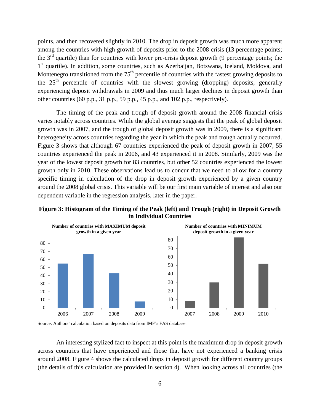points, and then recovered slightly in 2010. The drop in deposit growth was much more apparent among the countries with high growth of deposits prior to the 2008 crisis (13 percentage points; the  $3<sup>rd</sup>$  quartile) than for countries with lower pre-crisis deposit growth (9 percentage points; the 1<sup>st</sup> quartile). In addition, some countries, such as Azerbaijan, Botswana, Iceland, Moldova, and Montenegro transitioned from the  $75<sup>th</sup>$  percentile of countries with the fastest growing deposits to the  $25<sup>th</sup>$  percentile of countries with the slowest growing (dropping) deposits, generally experiencing deposit withdrawals in 2009 and thus much larger declines in deposit growth than other countries (60 p.p., 31 p.p., 59 p.p., 45 p.p., and 102 p.p., respectively).

The timing of the peak and trough of deposit growth around the 2008 financial crisis varies notably across countries. While the global average suggests that the peak of global deposit growth was in 2007, and the trough of global deposit growth was in 2009, there is a significant heterogeneity across countries regarding the year in which the peak and trough actually occurred. Figure 3 shows that although 67 countries experienced the peak of deposit growth in 2007, 55 countries experienced the peak in 2006, and 43 experienced it in 2008. Similarly, 2009 was the year of the lowest deposit growth for 83 countries, but other 52 countries experienced the lowest growth only in 2010. These observations lead us to concur that we need to allow for a country specific timing in calculation of the drop in deposit growth experienced by a given country around the 2008 global crisis. This variable will be our first main variable of interest and also our dependent variable in the regression analysis, later in the paper.







An interesting stylized fact to inspect at this point is the maximum drop in deposit growth across countries that have experienced and those that have not experienced a banking crisis around 2008. Figure 4 shows the calculated drops in deposit growth for different country groups (the details of this calculation are provided in section 4). When looking across all countries (the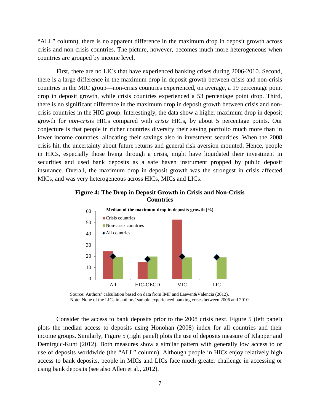"ALL" column), there is no apparent difference in the maximum drop in deposit growth across crisis and non-crisis countries. The picture, however, becomes much more heterogeneous when countries are grouped by income level.

First, there are no LICs that have experienced banking crises during 2006-2010. Second, there is a large difference in the maximum drop in deposit growth between crisis and non-crisis countries in the MIC group—non-crisis countries experienced, on average, a 19 percentage point drop in deposit growth, while crisis countries experienced a 53 percentage point drop. Third, there is no significant difference in the maximum drop in deposit growth between crisis and noncrisis countries in the HIC group. Interestingly, the data show a higher maximum drop in deposit growth for *non-crisi*s HICs compared with *crisis* HICs, by about 5 percentage points. Our conjecture is that people in richer countries diversify their saving portfolio much more than in lower income countries, allocating their savings also in investment securities. When the 2008 crisis hit, the uncertainty about future returns and general risk aversion mounted. Hence, people in HICs, especially those living through a crisis, might have liquidated their investment in securities and used bank deposits as a safe haven instrument propped by public deposit insurance. Overall, the maximum drop in deposit growth was the strongest in crisis affected MICs, and was very heterogeneous across HICs, MICs and LICs.





Source: Authors' calculation based on data from IMF and Laeven&Valencia (2012). Note: None of the LICs in authors' sample experienced banking crises between 2006 and 2010.

Consider the access to bank deposits prior to the 2008 crisis next. Figure 5 (left panel) plots the median access to deposits using Honohan (2008) index for all countries and their income groups. Similarly, Figure 5 (right panel) plots the use of deposits measure of Klapper and Demirguc-Kunt (2012). Both measures show a similar pattern with generally low access to or use of deposits worldwide (the "ALL" column). Although people in HICs enjoy relatively high access to bank deposits, people in MICs and LICs face much greater challenge in accessing or using bank deposits (see also Allen et al., 2012).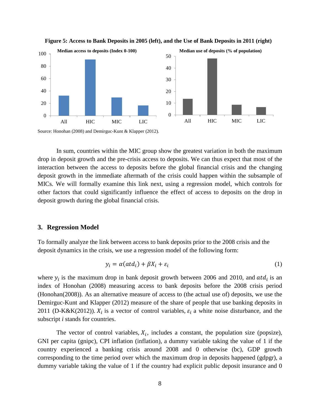



Source: Honohan (2008) and Demirguc-Kunt & Klapper (2012).

In sum, countries within the MIC group show the greatest variation in both the maximum drop in deposit growth and the pre-crisis access to deposits. We can thus expect that most of the interaction between the access to deposits before the global financial crisis and the changing deposit growth in the immediate aftermath of the crisis could happen within the subsample of MICs. We will formally examine this link next, using a regression model, which controls for other factors that could significantly influence the effect of access to deposits on the drop in deposit growth during the global financial crisis.

#### **3. Regression Model**

To formally analyze the link between access to bank deposits prior to the 2008 crisis and the deposit dynamics in the crisis, we use a regression model of the following form:

$$
y_i = \alpha(\text{atd}_i) + \beta X_i + \varepsilon_i \tag{1}
$$

where  $y_i$  is the maximum drop in bank deposit growth between 2006 and 2010, and  $atd_i$  is an index of Honohan (2008) measuring access to bank deposits before the 2008 crisis period (Honohan(2008)). As an alternative measure of access to (the actual use of) deposits, we use the Demirguc-Kunt and Klapper (2012) measure of the share of people that use banking deposits in 2011 (D-K&K(2012)).  $X_i$  is a vector of control variables,  $\varepsilon_i$  a white noise disturbance, and the subscript *i* stands for countries.

The vector of control variables,  $X_i$ , includes a constant, the population size (popsize), GNI per capita (gnipc), CPI inflation (inflation), a dummy variable taking the value of 1 if the country experienced a banking crisis around 2008 and 0 otherwise (bc), GDP growth corresponding to the time period over which the maximum drop in deposits happened (gdpgr), a dummy variable taking the value of 1 if the country had explicit public deposit insurance and 0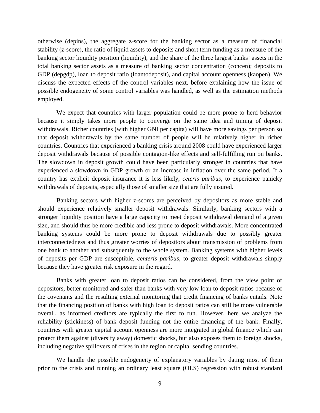otherwise (depins), the aggregate z-score for the banking sector as a measure of financial stability (z-score), the ratio of liquid assets to deposits and short term funding as a measure of the banking sector liquidity position (liquidity), and the share of the three largest banks' assets in the total banking sector assets as a measure of banking sector concentration (concen); deposits to GDP (depgdp), loan to deposit ratio (loantodeposit), and capital account openness (kaopen). We discuss the expected effects of the control variables next, before explaining how the issue of possible endogeneity of some control variables was handled, as well as the estimation methods employed.

We expect that countries with larger population could be more prone to herd behavior because it simply takes more people to converge on the same idea and timing of deposit withdrawals. Richer countries (with higher GNI per capita) will have more savings per person so that deposit withdrawals by the same number of people will be relatively higher in richer countries. Countries that experienced a banking crisis around 2008 could have experienced larger deposit withdrawals because of possible contagion-like effects and self-fulfilling run on banks. The slowdown in deposit growth could have been particularly stronger in countries that have experienced a slowdown in GDP growth or an increase in inflation over the same period. If a country has explicit deposit insurance it is less likely, *ceteris paribus*, to experience panicky withdrawals of deposits, especially those of smaller size that are fully insured.

Banking sectors with higher z-scores are perceived by depositors as more stable and should experience relatively smaller deposit withdrawals. Similarly, banking sectors with a stronger liquidity position have a large capacity to meet deposit withdrawal demand of a given size, and should thus be more credible and less prone to deposit withdrawals. More concentrated banking systems could be more prone to deposit withdrawals due to possibly greater interconnectedness and thus greater worries of depositors about transmission of problems from one bank to another and subsequently to the whole system. Banking systems with higher levels of deposits per GDP are susceptible, *centeris paribus*, to greater deposit withdrawals simply because they have greater risk exposure in the regard.

Banks with greater loan to deposit ratios can be considered, from the view point of depositors, better monitored and safer than banks with very low loan to deposit ratios because of the covenants and the resulting external monitoring that credit financing of banks entails. Note that the financing position of banks with high loan to deposit ratios can still be more vulnerable overall, as informed creditors are typically the first to run. However, here we analyze the reliability (stickiness) of bank deposit funding not the entire financing of the bank. Finally, countries with greater capital account openness are more integrated in global finance which can protect them against (diversify away) domestic shocks, but also exposes them to foreign shocks, including negative spillovers of crises in the region or capital sending countries.

We handle the possible endogeneity of explanatory variables by dating most of them prior to the crisis and running an ordinary least square (OLS) regression with robust standard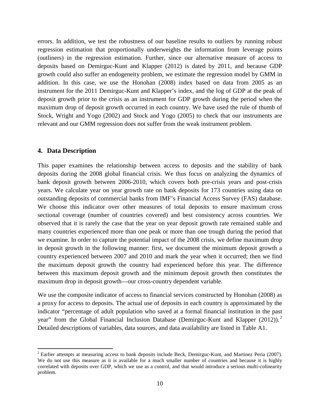errors. In addition, we test the robustness of our baseline results to outliers by running robust regression estimation that proportionally underweights the information from leverage points (outliners) in the regression estimation. Further, since our alternative measure of access to deposits based on Demirguc-Kunt and Klapper (2012) is dated by 2011, and because GDP growth could also suffer an endogeneity problem, we estimate the regression model by GMM in addition. In this case, we use the Honohan (2008) index based on data from 2005 as an instrument for the 2011 Demirguc-Kunt and Klapper's index, and the log of GDP at the peak of deposit growth prior to the crisis as an instrument for GDP growth during the period when the maximum drop of deposit growth occurred in each country. We have used the rule of thumb of Stock, Wright and Yogo (2002) and Stock and Yogo (2005) to check that our instruments are relevant and our GMM regression does not suffer from the weak instrument problem.

#### **4. Data Description**

l

This paper examines the relationship between access to deposits and the stability of bank deposits during the 2008 global financial crisis. We thus focus on analyzing the dynamics of bank deposit growth between 2006-2010, which covers both pre-crisis years and post-crisis years. We calculate year on year growth rate on bank deposits for 173 countries using data on outstanding deposits of commercial banks from IMF's Financial Access Survey (FAS) database. We choose this indicator over other measures of total deposits to ensure maximum cross sectional coverage (number of countries covered) and best consistency across countries. We observed that it is rarely the case that the year on year deposit growth rate remained stable and many countries experienced more than one peak or more than one trough during the period that we examine. In order to capture the potential impact of the 2008 crisis, we define maximum drop in deposit growth in the following manner: first, we document the minimum deposit growth a country experienced between 2007 and 2010 and mark the year when it occurred; then we find the maximum deposit growth the country had experienced before this year. The difference between this maximum deposit growth and the minimum deposit growth then constitutes the maximum drop in deposit growth—our cross-country dependent variable.

We use the composite indicator of access to financial services constructed by Honohan (2008) as a proxy for access to deposits. The actual use of deposits in each country is approximated by the indicator "percentage of adult population who saved at a formal financial institution in the past year" from the Global Financial Inclusion Database (Demirguc-Kunt and Klapper ([2](#page-11-0)012)).<sup>2</sup> Detailed descriptions of variables, data sources, and data availability are listed in Table A1.

<span id="page-11-0"></span><sup>&</sup>lt;sup>2</sup> Earlier attempts at measuring access to bank deposits include Beck, Demirguc-Kunt, and Martinez Peria (2007). We do not use this measure as it is available for a much smaller number of countries and because it is highly correlated with deposits over GDP, which we use as a control, and that would introduce a serious multi-colinearity problem.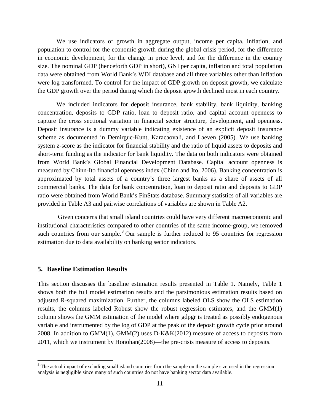We use indicators of growth in aggregate output, income per capita, inflation, and population to control for the economic growth during the global crisis period, for the difference in economic development, for the change in price level, and for the difference in the country size. The nominal GDP (henceforth GDP in short), GNI per capita, inflation and total population data were obtained from World Bank's WDI database and all three variables other than inflation were log transformed. To control for the impact of GDP growth on deposit growth, we calculate the GDP growth over the period during which the deposit growth declined most in each country.

We included indicators for deposit insurance, bank stability, bank liquidity, banking concentration, deposits to GDP ratio, loan to deposit ratio, and capital account openness to capture the cross sectional variation in financial sector structure, development, and openness. Deposit insurance is a dummy variable indicating existence of an explicit deposit insurance scheme as documented in Demirguc-Kunt, Karacaovali, and Laeven (2005). We use banking system z-score as the indicator for financial stability and the ratio of liquid assets to deposits and short-term funding as the indicator for bank liquidity. The data on both indicators were obtained from World Bank's Global Financial Development Database. Capital account openness is measured by Chinn-Ito financial openness index (Chinn and Ito, 2006). Banking concentration is approximated by total assets of a country's three largest banks as a share of assets of all commercial banks. The data for bank concentration, loan to deposit ratio and deposits to GDP ratio were obtained from World Bank's FinStats database. Summary statistics of all variables are provided in Table A3 and pairwise correlations of variables are shown in Table A2.

Given concerns that small island countries could have very different macroeconomic and institutional characteristics compared to other countries of the same income-group, we removed such countries from our sample.<sup>[3](#page-12-0)</sup> Our sample is further reduced to 95 countries for regression estimation due to data availability on banking sector indicators.

#### **5. Baseline Estimation Results**

l

This section discusses the baseline estimation results presented in Table 1. Namely, Table 1 shows both the full model estimation results and the parsimonious estimation results based on adjusted R-squared maximization. Further, the columns labeled OLS show the OLS estimation results, the columns labeled Robust show the robust regression estimates, and the GMM(1) column shows the GMM estimation of the model where gdpgr is treated as possibly endogenous variable and instrumented by the log of GDP at the peak of the deposit growth cycle prior around 2008. In addition to GMM(1), GMM(2) uses D-K&K(2012) measure of access to deposits from 2011, which we instrument by Honohan(2008)—the pre-crisis measure of access to deposits.

<span id="page-12-0"></span> $3$  The actual impact of excluding small island countries from the sample on the sample size used in the regression analysis is negligible since many of such countries do not have banking sector data available.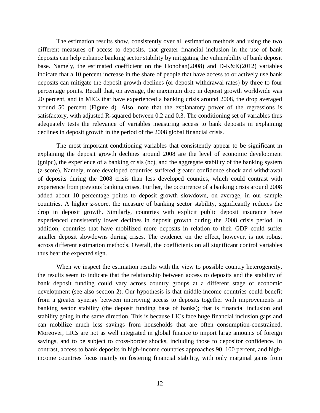The estimation results show, consistently over all estimation methods and using the two different measures of access to deposits, that greater financial inclusion in the use of bank deposits can help enhance banking sector stability by mitigating the vulnerability of bank deposit base. Namely, the estimated coefficient on the Honohan(2008) and D-K&K(2012) variables indicate that a 10 percent increase in the share of people that have access to or actively use bank deposits can mitigate the deposit growth declines (or deposit withdrawal rates) by three to four percentage points. Recall that, on average, the maximum drop in deposit growth worldwide was 20 percent, and in MICs that have experienced a banking crisis around 2008, the drop averaged around 50 percent (Figure 4). Also, note that the explanatory power of the regressions is satisfactory, with adjusted R-squared between 0.2 and 0.3. The conditioning set of variables thus adequately tests the relevance of variables measuring access to bank deposits in explaining declines in deposit growth in the period of the 2008 global financial crisis.

The most important conditioning variables that consistently appear to be significant in explaining the deposit growth declines around 2008 are the level of economic development (gnipc), the experience of a banking crisis (bc), and the aggregate stability of the banking system (z-score). Namely, more developed countries suffered greater confidence shock and withdrawal of deposits during the 2008 crisis than less developed counties, which could contrast with experience from previous banking crises. Further, the occurrence of a banking crisis around 2008 added about 10 percentage points to deposit growth slowdown, on average, in our sample countries. A higher z-score, the measure of banking sector stability, significantly reduces the drop in deposit growth. Similarly, countries with explicit public deposit insurance have experienced consistently lower declines in deposit growth during the 2008 crisis period. In addition, countries that have mobilized more deposits in relation to their GDP could suffer smaller deposit slowdowns during crises. The evidence on the effect, however, is not robust across different estimation methods. Overall, the coefficients on all significant control variables thus bear the expected sign.

When we inspect the estimation results with the view to possible country heterogeneity, the results seem to indicate that the relationship between access to deposits and the stability of bank deposit funding could vary across country groups at a different stage of economic development (see also section 2). Our hypothesis is that middle-income countries could benefit from a greater synergy between improving access to deposits together with improvements in banking sector stability (the deposit funding base of banks); that is financial inclusion and stability going in the same direction. This is because LICs face huge financial inclusion gaps and can mobilize much less savings from households that are often consumption-constrained. Moreover, LICs are not as well integrated in global finance to import large amounts of foreign savings, and to be subject to cross-border shocks, including those to depositor confidence. In contrast, access to bank deposits in high-income countries approaches 90–100 percent, and highincome countries focus mainly on fostering financial stability, with only marginal gains from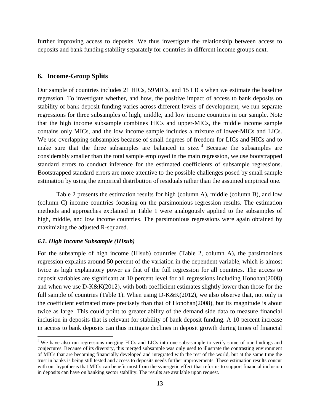further improving access to deposits. We thus investigate the relationship between access to deposits and bank funding stability separately for countries in different income groups next.

#### **6. Income-Group Splits**

Our sample of countries includes 21 HICs, 59MICs, and 15 LICs when we estimate the baseline regression. To investigate whether, and how, the positive impact of access to bank deposits on stability of bank deposit funding varies across different levels of development, we run separate regressions for three subsamples of high, middle, and low income countries in our sample. Note that the high income subsample combines HICs and upper-MICs, the middle income sample contains only MICs, and the low income sample includes a mixture of lower-MICs and LICs. We use overlapping subsamples because of small degrees of freedom for LICs and HICs and to make sure that the three subsamples are balanced in size.<sup>[4](#page-14-0)</sup> Because the subsamples are considerably smaller than the total sample employed in the main regression, we use bootstrapped standard errors to conduct inference for the estimated coefficients of subsample regressions. Bootstrapped standard errors are more attentive to the possible challenges posed by small sample estimation by using the empirical distribution of residuals rather than the assumed empirical one.

Table 2 presents the estimation results for high (column A), middle (column B), and low (column C) income countries focusing on the parsimonious regression results. The estimation methods and approaches explained in Table 1 were analogously applied to the subsamples of high, middle, and low income countries. The parsimonious regressions were again obtained by maximizing the adjusted R-squared.

#### *6.1. High Income Subsample (HIsub)*

 $\overline{\phantom{a}}$ 

For the subsample of high income (HIsub) countries (Table 2, column A), the parsimonious regression explains around 50 percent of the variation in the dependent variable, which is almost twice as high explanatory power as that of the full regression for all countries. The access to deposit variables are significant at 10 percent level for all regressions including Honohan(2008) and when we use D-K&K(2012), with both coefficient estimates slightly lower than those for the full sample of countries (Table 1). When using D-K&K(2012), we also observe that, not only is the coefficient estimated more precisely than that of Honohan(2008), but its magnitude is about twice as large. This could point to greater ability of the demand side data to measure financial inclusion in deposits that is relevant for stability of bank deposit funding. A 10 percent increase in access to bank deposits can thus mitigate declines in deposit growth during times of financial

<span id="page-14-0"></span><sup>&</sup>lt;sup>4</sup> We have also run regressions merging HICs and LICs into one subs-sample to verify some of our findings and conjectures. Because of its diversity, this merged subsample was only used to illustrate the contrasting environment of MICs that are becoming financially developed and integrated with the rest of the world, but at the same time the trust in banks is being still tested and access to deposits needs further improvements. These estimation results concur with our hypothesis that MICs can benefit most from the synergetic effect that reforms to support financial inclusion in deposits can have on banking sector stability. The results are available upon request.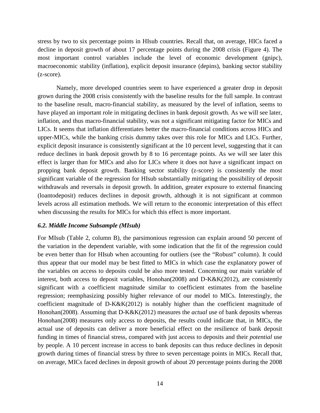stress by two to six percentage points in HIsub countries. Recall that, on average, HICs faced a decline in deposit growth of about 17 percentage points during the 2008 crisis (Figure 4). The most important control variables include the level of economic development (gnipc), macroeconomic stability (inflation), explicit deposit insurance (depins), banking sector stability (z-score).

Namely, more developed countries seem to have experienced a greater drop in deposit grown during the 2008 crisis consistently with the baseline results for the full sample. In contrast to the baseline result, macro-financial stability, as measured by the level of inflation, seems to have played an important role in mitigating declines in bank deposit growth. As we will see later, inflation, and thus macro-financial stability, was not a significant mitigating factor for MICs and LICs. It seems that inflation differentiates better the macro-financial conditions across HICs and upper-MICs, while the banking crisis dummy takes over this role for MICs and LICs. Further, explicit deposit insurance is consistently significant at the 10 percent level, suggesting that it can reduce declines in bank deposit growth by 8 to 16 percentage points. As we will see later this effect is larger than for MICs and also for LICs where it does not have a significant impact on propping bank deposit growth. Banking sector stability (z-score) is consistently the most significant variable of the regression for HIsub substantially mitigating the possibility of deposit withdrawals and reversals in deposit growth. In addition, greater exposure to external financing (loantodeposit) reduces declines in deposit growth, although it is not significant at common levels across all estimation methods. We will return to the economic interpretation of this effect when discussing the results for MICs for which this effect is more important.

#### *6.2. Middle Income Subsample (MIsub)*

For MIsub (Table 2, column B), the parsimonious regression can explain around 50 percent of the variation in the dependent variable, with some indication that the fit of the regression could be even better than for HIsub when accounting for outliers (see the "Robust" column). It could thus appear that our model may be best fitted to MICs in which case the explanatory power of the variables on access to deposits could be also more tested. Concerning our main variable of interest, both access to deposit variables, Honohan(2008) and D-K&K(2012), are consistently significant with a coefficient magnitude similar to coefficient estimates from the baseline regression; reemphasizing possibly higher relevance of our model to MICs. Interestingly, the coefficient magnitude of D-K&K(2012) is notably higher than the coefficient magnitude of Honohan(2008). Assuming that D-K&K(2012) measures the *actual* use of bank deposits whereas Honohan(2008) measures only access to deposits, the results could indicate that, in MICs, the actual use of deposits can deliver a more beneficial effect on the resilience of bank deposit funding in times of financial stress, compared with just access to deposits and their *potential* use by people. A 10 percent increase in access to bank deposits can thus reduce declines in deposit growth during times of financial stress by three to seven percentage points in MICs. Recall that, on average, MICs faced declines in deposit growth of about 20 percentage points during the 2008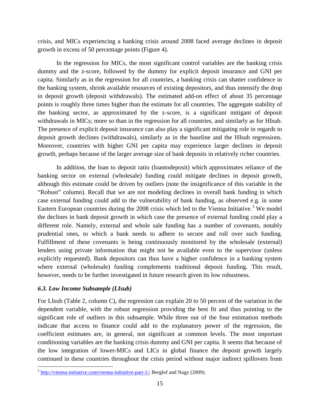crisis, and MICs experiencing a banking crisis around 2008 faced average declines in deposit growth in excess of 50 percentage points (Figure 4).

In the regression for MICs, the most significant control variables are the banking crisis dummy and the z-score, followed by the dummy for explicit deposit insurance and GNI per capita. Similarly as in the regression for all countries, a banking crisis can shatter confidence in the banking system, shrink available resources of existing depositors, and thus intensify the drop in deposit growth (deposit withdrawals). The estimated add-on effect of about 35 percentage points is roughly three times higher than the estimate for all countries. The aggregate stability of the banking sector, as approximated by the z-score, is a significant mitigant of deposit withdrawals in MICs; more so than in the regression for all countries, and similarly as for HIsub. The presence of explicit deposit insurance can also play a significant mitigating role in regards to deposit growth declines (withdrawals), similarly as in the baseline and the HIsub regressions. Moreover, countries with higher GNI per capita may experience larger declines in deposit growth, perhaps because of the larger average size of bank deposits in relatively richer countries.

In addition, the loan to deposit ratio (loantodeposit) which approximates reliance of the banking sector on external (wholesale) funding could mitigate declines in deposit growth, although this estimate could be driven by outliers (note the insignificance of this variable in the "Robust" column). Recall that we are not modeling declines in overall bank funding in which case external funding could add to the vulnerability of bank funding, as observed e.g. in some Eastern European countries during the 2008 crisis which led to the Vienna Initiative.<sup>[5](#page-16-0)</sup> We model the declines in bank deposit growth in which case the presence of external funding could play a different role. Namely, external and whole sale funding has a number of covenants, notably prudential ones, to which a bank needs to adhere to secure and roll over such funding. Fulfillment of these covenants is being continuously monitored by the wholesale (external) lenders using private information that might not be available even to the supervisor (unless explicitly requested). Bank depositors can thus have a higher confidence in a banking system where external (wholesale) funding complements traditional deposit funding. This result, however, needs to be further investigated in future research given its low robustness.

#### *6.3. Low Income Subsample (LIsub)*

l

For LIsub (Table 2, column C), the regression can explain 20 to 50 percent of the variation in the dependent variable, with the robust regression providing the best fit and thus pointing to the significant role of outliers in this subsample. While three out of the four estimation methods indicate that access to finance could add to the explanatory power of the regression, the coefficient estimates are, in general, not significant at common levels. The most important conditioning variables are the banking crisis dummy and GNI per capita. It seems that because of the low integration of lower-MICs and LICs in global finance the deposit growth largely continued in these countries throughout the crisis period without major indirect spillovers from

<span id="page-16-0"></span> $5$  [http://vienna-initiative.com/vienna-initiative-part-1/;](http://vienna-initiative.com/vienna-initiative-part-1/) Berglof and Nagy (2009).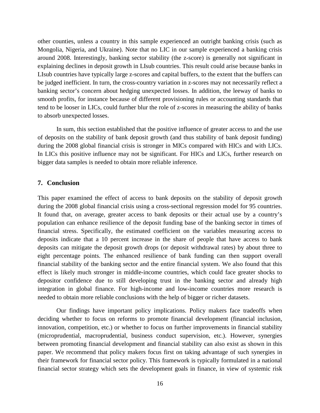other counties, unless a country in this sample experienced an outright banking crisis (such as Mongolia, Nigeria, and Ukraine). Note that no LIC in our sample experienced a banking crisis around 2008. Interestingly, banking sector stability (the z-score) is generally not significant in explaining declines in deposit growth in LIsub countries. This result could arise because banks in LIsub countries have typically large z-scores and capital buffers, to the extent that the buffers can be judged inefficient. In turn, the cross-country variation in z-scores may not necessarily reflect a banking sector's concern about hedging unexpected losses. In addition, the leeway of banks to smooth profits, for instance because of different provisioning rules or accounting standards that tend to be looser in LICs, could further blur the role of z-scores in measuring the ability of banks to absorb unexpected losses.

In sum, this section established that the positive influence of greater access to and the use of deposits on the stability of bank deposit growth (and thus stability of bank deposit funding) during the 2008 global financial crisis is stronger in MICs compared with HICs and with LICs. In LICs this positive influence may not be significant. For HICs and LICs, further research on bigger data samples is needed to obtain more reliable inference.

#### **7. Conclusion**

This paper examined the effect of access to bank deposits on the stability of deposit growth during the 2008 global financial crisis using a cross-sectional regression model for 95 countries. It found that, on average, greater access to bank deposits or their actual use by a country's population can enhance resilience of the deposit funding base of the banking sector in times of financial stress. Specifically, the estimated coefficient on the variables measuring access to deposits indicate that a 10 percent increase in the share of people that have access to bank deposits can mitigate the deposit growth drops (or deposit withdrawal rates) by about three to eight percentage points. The enhanced resilience of bank funding can then support overall financial stability of the banking sector and the entire financial system. We also found that this effect is likely much stronger in middle-income countries, which could face greater shocks to depositor confidence due to still developing trust in the banking sector and already high integration in global finance. For high-income and low-income countries more research is needed to obtain more reliable conclusions with the help of bigger or richer datasets.

Our findings have important policy implications. Policy makers face tradeoffs when deciding whether to focus on reforms to promote financial development (financial inclusion, innovation, competition, etc.) or whether to focus on further improvements in financial stability (microprudential, macroprudential, business conduct supervision, etc.). However, synergies between promoting financial development and financial stability can also exist as shown in this paper. We recommend that policy makers focus first on taking advantage of such synergies in their framework for financial sector policy. This framework is typically formulated in a national financial sector strategy which sets the development goals in finance, in view of systemic risk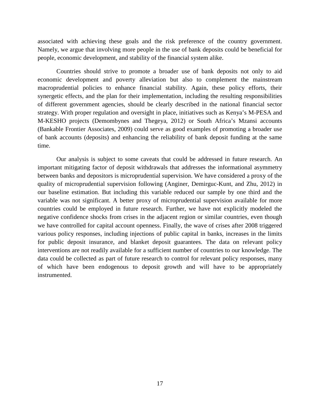associated with achieving these goals and the risk preference of the country government. Namely, we argue that involving more people in the use of bank deposits could be beneficial for people, economic development, and stability of the financial system alike.

Countries should strive to promote a broader use of bank deposits not only to aid economic development and poverty alleviation but also to complement the mainstream macroprudential policies to enhance financial stability. Again, these policy efforts, their synergetic effects, and the plan for their implementation, including the resulting responsibilities of different government agencies, should be clearly described in the national financial sector strategy. With proper regulation and oversight in place, initiatives such as Kenya's M-PESA and M-KESHO projects (Demombynes and Thegeya, 2012) or South Africa's Mzansi accounts (Bankable Frontier Associates, 2009) could serve as good examples of promoting a broader use of bank accounts (deposits) and enhancing the reliability of bank deposit funding at the same time.

Our analysis is subject to some caveats that could be addressed in future research. An important mitigating factor of deposit withdrawals that addresses the informational asymmetry between banks and depositors is microprudential supervision. We have considered a proxy of the quality of microprudential supervision following (Anginer, Demirguc-Kunt, and Zhu, 2012) in our baseline estimation. But including this variable reduced our sample by one third and the variable was not significant. A better proxy of microprudential supervision available for more countries could be employed in future research. Further, we have not explicitly modeled the negative confidence shocks from crises in the adjacent region or similar countries, even though we have controlled for capital account openness. Finally, the wave of crises after 2008 triggered various policy responses, including injections of public capital in banks, increases in the limits for public deposit insurance, and blanket deposit guarantees. The data on relevant policy interventions are not readily available for a sufficient number of countries to our knowledge. The data could be collected as part of future research to control for relevant policy responses, many of which have been endogenous to deposit growth and will have to be appropriately instrumented.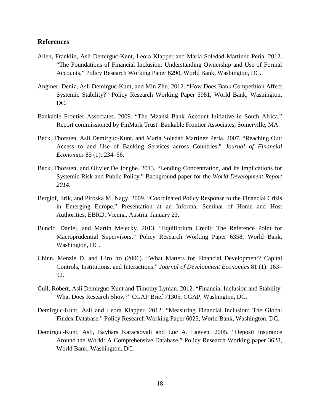#### **References**

- Allen, Franklin, Asli Demirguc-Kunt, Leora Klapper and María Soledad Martínez Pería. 2012. "The Foundations of Financial Inclusion: Understanding Ownership and Use of Formal Accounts." Policy Research Working Paper 6290, World Bank, Washington, DC.
- Anginer, Deniz, Asli Demirguc-Kunt, and Min Zhu. 2012. "How Does Bank Competition Affect Systemic Stability?" Policy Research Working Paper 5981, World Bank, Washington, DC.
- Bankable Frontier Associates. 2009. "The Mzansi Bank Account Initiative in South Africa." Report commissioned by FinMark Trust. Bankable Frontier Associates, Somerville, MA.
- Beck, Thorsten, Asli Demirguc-Kunt, and Maria Soledad Martinez Peria. 2007. "Reaching Out: Access to and Use of Banking Services across Countries." *Journal of Financial Economics* 85 (1): 234–66.
- Beck, Thorsten, and Olivier De Jonghe. 2013. "Lending Concentration, and Its Implications for Systemic Risk and Public Policy." Background paper for the *World Development Report 2014*.
- Berglof, Erik, and Piroska M. Nagy. 2009. "Coordinated Policy Response to the Financial Crisis in Emerging Europe." Presentation at an Informal Seminar of Home and Host Authorities, EBRD, Vienna, Austria, January 23.
- Buncic, Daniel, and Martin Melecky. 2013. "Equilibrium Credit: The Reference Point for Macroprudential Supervisors." Policy Research Working Paper 6358, World Bank, Washington, DC.
- Chinn, Menzie D. and Hiro Ito (2006). "What Matters for Financial Development? Capital Controls, Institutions, and Interactions." *Journal of Development Economics* 81 (1): 163– 92.
- Cull, Robert, Asli Demirguc-Kunt and Timothy Lyman. 2012. "Financial Inclusion and Stability: What Does Research Show?" CGAP Brief 71305, CGAP, Washington, DC.
- Demirguc-Kunt, Asli and Leora Klapper. 2012. "Measuring Financial Inclusion: The Global Findex Database." Policy Research Working Paper 6025, World Bank, Washington, DC.
- Demirguc-Kunt, Asli, Baybars Karacaovali and Luc A. Laeven. 2005. "Deposit Insurance Around the World: A Comprehensive Database." Policy Research Working paper 3628, World Bank, Washington, DC.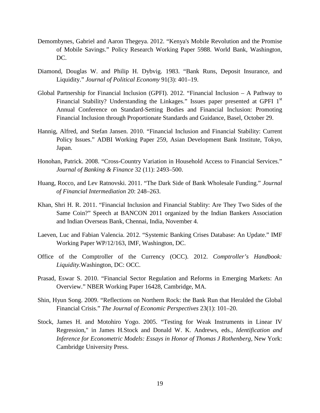- Demombynes, Gabriel and Aaron Thegeya. 2012. "Kenya's Mobile Revolution and the Promise of Mobile Savings." Policy Research Working Paper 5988. World Bank, Washington, DC.
- Diamond, Douglas W. and Philip H. Dybvig. 1983. "Bank Runs, Deposit Insurance, and Liquidity." *Journal of Political Economy* 91(3): 401–19.
- Global Partnership for Financial Inclusion (GPFI). 2012. "Financial Inclusion A Pathway to Financial Stability? Understanding the Linkages." Issues paper presented at GPFI 1<sup>st</sup> Annual Conference on Standard-Setting Bodies and Financial Inclusion: Promoting Financial Inclusion through Proportionate Standards and Guidance, Basel, October 29.
- Hannig, Alfred, and Stefan Jansen. 2010. "Financial Inclusion and Financial Stability: Current Policy Issues." ADBI Working Paper 259, Asian Development Bank Institute, Tokyo, Japan.
- Honohan, Patrick. 2008. "Cross-Country Variation in Household Access to Financial Services." *Journal of Banking & Finance* 32 (11): 2493–500.
- Huang, Rocco, and Lev Ratnovski. 2011. "The Dark Side of Bank Wholesale Funding." *Journal of Financial Intermediation* 20: 248–263.
- Khan, Shri H. R. 2011. "Financial Inclusion and Financial Stablity: Are They Two Sides of the Same Coin?" Speech at BANCON 2011 organized by the Indian Bankers Association and Indian Overseas Bank, Chennai, India, November 4.
- Laeven, Luc and Fabian Valencia. 2012. "Systemic Banking Crises Database: An Update." IMF Working Paper WP/12/163, IMF, Washington, DC.
- Office of the Comptroller of the Currency (OCC). 2012. *Comptroller's Handbook: Liquidity.*Washington, DC: OCC.
- Prasad, Eswar S. 2010. "Financial Sector Regulation and Reforms in Emerging Markets: An Overview." NBER Working Paper 16428, Cambridge, MA.
- Shin, Hyun Song. 2009. "Reflections on Northern Rock: the Bank Run that Heralded the Global Financial Crisis." *The Journal of Economic Perspectives* 23(1): 101–20.
- Stock, James H. and Motohiro Yogo. 2005. "Testing for Weak Instruments in Linear IV Regression," in James H.Stock and Donald W. K. Andrews, eds., *Identification and Inference for Econometric Models: Essays in Honor of Thomas J Rothenberg*, New York: Cambridge University Press.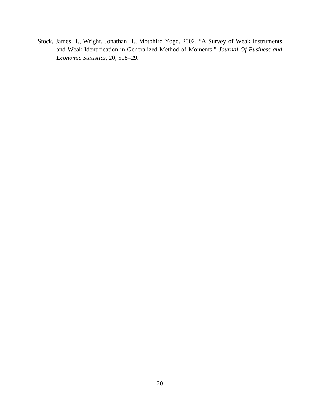Stock, James H., Wright, Jonathan H., Motohiro Yogo. 2002. "A Survey of Weak Instruments and Weak Identification in Generalized Method of Moments." *Journal Of Business and Economic Statistics*, 20, 518–29.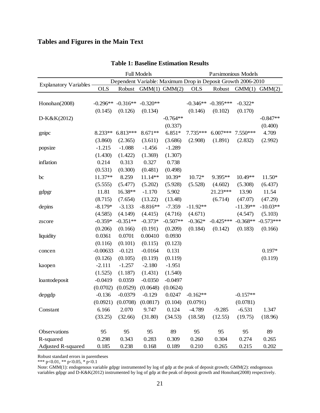### **Tables and Figures in the Main Text**

|                              |                                                              |                       | <b>Full Models</b> |            |            | Parsimonious Models |            |             |  |  |
|------------------------------|--------------------------------------------------------------|-----------------------|--------------------|------------|------------|---------------------|------------|-------------|--|--|
| <b>Explanatory Variables</b> | Dependent Variable: Maximum Drop in Deposit Growth 2006-2010 |                       |                    |            |            |                     |            |             |  |  |
|                              | <b>OLS</b>                                                   | Robust                | $GMM(1)$ $GMM(2)$  |            | <b>OLS</b> | Robust              | GMM(1)     | GMM(2)      |  |  |
|                              |                                                              |                       |                    |            |            |                     |            |             |  |  |
| Honohan(2008)                | $-0.296**$                                                   | $-0.316**$            | $-0.320**$         |            | $-0.346**$ | $-0.395***$         | $-0.322*$  |             |  |  |
|                              | (0.145)                                                      | (0.126)               | (0.134)            |            | (0.146)    | (0.102)             | (0.170)    |             |  |  |
| D-K&K(2012)                  |                                                              |                       |                    | $-0.764**$ |            |                     |            | $-0.847**$  |  |  |
|                              |                                                              |                       |                    | (0.337)    |            |                     |            | (0.400)     |  |  |
| gnipc                        | 8.233**                                                      | $6.813***$            | 8.671**            | $6.851*$   | 7.735***   | $6.007***$          | 7.550***   | 4.709       |  |  |
|                              | (3.860)                                                      | (2.365)               | (3.611)            | (3.686)    | (2.908)    | (1.891)             | (2.832)    | (2.992)     |  |  |
| popsize                      | $-1.215$                                                     | $-1.088$              | $-1.456$           | $-1.289$   |            |                     |            |             |  |  |
|                              | (1.430)                                                      | (1.422)               | (1.369)            | (1.307)    |            |                     |            |             |  |  |
| inflation                    | 0.214                                                        | 0.313                 | 0.327              | 0.738      |            |                     |            |             |  |  |
|                              | (0.531)                                                      | (0.300)               | (0.481)            | (0.498)    |            |                     |            |             |  |  |
| bc                           | 11.37**                                                      | 8.259                 | 11.14**            | 10.39*     | $10.72*$   | 9.395**             | $10.49**$  | $11.50*$    |  |  |
|                              | (5.555)                                                      | (5.477)               | (5.202)            | (5.928)    | (5.528)    | (4.602)             | (5.308)    | (6.437)     |  |  |
| gdpgr                        | 11.81                                                        | 16.38**               | $-1.170$           | 5.902      |            | 21.23***            | 13.90      | 11.54       |  |  |
|                              | (8.715)                                                      | (7.654)               | (13.22)            | (13.48)    |            | (6.714)             | (47.07)    | (47.29)     |  |  |
| depins                       | $-8.179*$                                                    | $-3.133$              | $-8.816**$         | $-7.359$   | $-11.92**$ |                     | $-11.39**$ | $-10.03**$  |  |  |
|                              | (4.585)                                                      | (4.149)               | (4.415)            | (4.716)    | (4.671)    |                     | (4.547)    | (5.103)     |  |  |
| zscore                       | $-0.359*$                                                    | $-0.351**$            | $-0.373*$          | $-0.507**$ | $-0.362*$  | $-0.425***$         | $-0.368**$ | $-0.573***$ |  |  |
|                              | (0.206)                                                      | (0.166)               | (0.191)            | (0.209)    | (0.184)    | (0.142)             | (0.183)    | (0.166)     |  |  |
| liquidity                    | 0.0361                                                       | 0.0701                | 0.00410            | 0.0930     |            |                     |            |             |  |  |
|                              | (0.116)                                                      | (0.101)               | (0.115)            | (0.123)    |            |                     |            |             |  |  |
| concen                       | $-0.00633$                                                   | $-0.121$              | $-0.0164$          | 0.131      |            |                     |            | $0.197*$    |  |  |
|                              | (0.126)                                                      | (0.105)               | (0.119)            | (0.119)    |            |                     |            | (0.119)     |  |  |
| kaopen                       | $-2.111$                                                     | $-1.257$              | $-2.180$           | $-1.951$   |            |                     |            |             |  |  |
|                              | (1.525)                                                      | (1.187)               | (1.431)            | (1.540)    |            |                     |            |             |  |  |
| loantodeposit                | $-0.0419$                                                    | 0.0359                | $-0.0350$          | $-0.0497$  |            |                     |            |             |  |  |
|                              | (0.0702)                                                     | (0.0529)              | (0.0648)           | (0.0624)   |            |                     |            |             |  |  |
| depgdp                       | $-0.136$                                                     | $-0.0379$             | $-0.129$           | 0.0247     | $-0.162**$ |                     | $-0.157**$ |             |  |  |
|                              |                                                              | $(0.0921)$ $(0.0708)$ | (0.0817)           | (0.104)    | (0.0791)   |                     | (0.0781)   |             |  |  |
| Constant                     | 6.166                                                        | 2.070                 | 9.747              | 0.124      | $-4.789$   | $-9.285$            | $-6.531$   | 1.347       |  |  |
|                              | (33.25)                                                      | (32.66)               | (31.80)            | (34.53)    | (18.58)    | (12.55)             | (19.75)    | (18.96)     |  |  |
|                              |                                                              |                       |                    |            |            |                     |            |             |  |  |
| Observations                 | 95                                                           | 95                    | 95                 | 89         | 95         | 95                  | 95         | 89          |  |  |
| R-squared                    | 0.298                                                        | 0.343                 | 0.283              | 0.309      | 0.260      | 0.304               | 0.274      | 0.265       |  |  |
| Adjusted R-squared           | 0.185                                                        | 0.238                 | 0.168              | 0.189      | 0.210      | 0.265               | 0.215      | 0.202       |  |  |

#### **Table 1: Baseline Estimation Results**

Robust standard errors in parentheses

\*\*\* p<0.01, \*\* p<0.05, \* p<0.1

Note: GMM(1): endogenous variable gdpgr instrumented by log of gdp at the peak of deposit growth; GMM(2): endogenous variables gdpgr and D-K&K(2012) instrumented by log of gdp at the peak of deposit growth and Honohan(2008) respectively.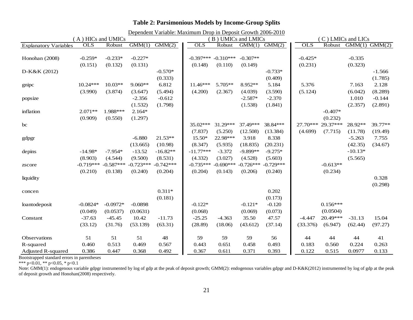| (A) HICs and UMICs<br>(B) UMICs and LMICs<br>C) LMICs and LICs<br>GMM(1)<br>GMM(2)<br>$GMM(1)$ $GMM(2)$<br><b>OLS</b><br><b>OLS</b><br><b>OLS</b><br>Robust<br>$GMM(1)$ $GMM(2)$<br>Robust<br>Robust<br>$-0.233*$<br>$-0.227*$<br>$-0.310***$<br>$-0.307**$<br>$-0.259*$<br>$-0.397***$<br>$-0.425*$<br>$-0.335$<br>(0.323)<br>(0.151)<br>(0.131)<br>(0.231)<br>(0.132)<br>(0.148)<br>(0.110)<br>(0.149)<br>$-0.570*$<br>$-0.733*$<br>$-1.566$<br>(1.785)<br>(0.333)<br>(0.409)<br>$10.03**$<br>$9.060**$<br>6.812<br>$11.46***$<br>8.952**<br>5.376<br>2.128<br>$10.24***$<br>5.705**<br>5.184<br>7.163<br>(3.990)<br>(5.494)<br>(4.200)<br>(5.124)<br>(6.042)<br>(8.289)<br>(3.874)<br>(3.647)<br>(2.367)<br>(4.039)<br>(3.590)<br>$-2.356$<br>$-0.612$<br>$-2.587*$<br>$-2.370$<br>1.010<br>$-0.144$<br>(1.532)<br>(1.798)<br>(1.538)<br>(1.841)<br>(2.357)<br>(2.891)<br>1.988***<br>$2.164*$<br>$-0.407*$<br>$2.071**$<br>(0.909)<br>(0.232)<br>(0.550)<br>(1.297)<br>37.49***<br>38.84***<br>29.37***<br>28.92**<br>39.77**<br>$35.02***$<br>31.29***<br>27.70***<br>(7.837)<br>(5.250)<br>(12.508)<br>(13.384)<br>(4.699)<br>(11.78)<br>(7.715)<br>(19.49)<br>$21.53**$<br>15.50*<br>22.98***<br>3.918<br>8.338<br>$-5.263$<br>7.755<br>$-6.880$<br>(42.35)<br>(13.665)<br>(10.98)<br>(8.347)<br>(18.835)<br>(34.67)<br>(5.935)<br>(20.231)<br>$-16.82**$<br>$-11.77***$<br>$-9.899**$<br>$-14.98*$<br>$-7.954*$<br>$-13.52$<br>$-3.372$<br>$-9.275*$<br>$-10.13*$<br>(8.903)<br>(9.500)<br>(8.531)<br>(4.544)<br>(4.332)<br>(3.027)<br>(4.528)<br>(5.603)<br>(5.565)<br>$-0.719***$<br>$-0.587***$<br>$-0.723***$<br>$-0.742***$<br>$-0.735***$<br>$-0.690***$<br>$-0.726***$<br>$-0.729***$<br>$-0.613**$<br>(0.210)<br>(0.240)<br>(0.204)<br>(0.204)<br>(0.143)<br>(0.206)<br>(0.240)<br>(0.234)<br>(0.138)<br>0.328<br>(0.298)<br>$0.311*$<br>0.202<br>(0.181)<br>(0.173)<br>$0.156***$<br>$-0.0824*$<br>$-0.0972*$<br>$-0.0898$<br>$-0.122*$<br>$-0.121*$<br>$-0.120$<br>(0.049)<br>(0.0537)<br>(0.0631)<br>(0.068)<br>(0.069)<br>(0.073)<br>(0.0504)<br>$-37.63$<br>$-45.45$<br>10.42<br>$-11.73$<br>$-25.25$<br>35.50<br>47.57<br>20.49***<br>$-31.13$<br>15.04<br>$-4.363$<br>$-4.447$<br>(33.12)<br>(53.139)<br>(63.31)<br>(28.89)<br>(18.06)<br>(43.612)<br>(37.14)<br>(6.947)<br>(62.44)<br>(97.27)<br>(31.76)<br>(33.376)<br>51<br>51<br>51<br>48<br>59<br>59<br>56<br>Observations<br>59<br>44<br>44<br>44<br>41<br>0.513<br>0.224<br>R-squared<br>0.460<br>0.469<br>0.567<br>0.443<br>0.651<br>0.458<br>0.493<br>0.183<br>0.560<br>0.263 |                              |       |       |       | Dependent Variable: Maximum Drop in Deposit Growth 2006-2010 |       |       |       |       |       |       |        |       |
|---------------------------------------------------------------------------------------------------------------------------------------------------------------------------------------------------------------------------------------------------------------------------------------------------------------------------------------------------------------------------------------------------------------------------------------------------------------------------------------------------------------------------------------------------------------------------------------------------------------------------------------------------------------------------------------------------------------------------------------------------------------------------------------------------------------------------------------------------------------------------------------------------------------------------------------------------------------------------------------------------------------------------------------------------------------------------------------------------------------------------------------------------------------------------------------------------------------------------------------------------------------------------------------------------------------------------------------------------------------------------------------------------------------------------------------------------------------------------------------------------------------------------------------------------------------------------------------------------------------------------------------------------------------------------------------------------------------------------------------------------------------------------------------------------------------------------------------------------------------------------------------------------------------------------------------------------------------------------------------------------------------------------------------------------------------------------------------------------------------------------------------------------------------------------------------------------------------------------------------------------------------------------------------------------------------------------------------------------------------------------------------------------------------------------------------------------------------------------------------------------------------------------------------------------------------|------------------------------|-------|-------|-------|--------------------------------------------------------------|-------|-------|-------|-------|-------|-------|--------|-------|
|                                                                                                                                                                                                                                                                                                                                                                                                                                                                                                                                                                                                                                                                                                                                                                                                                                                                                                                                                                                                                                                                                                                                                                                                                                                                                                                                                                                                                                                                                                                                                                                                                                                                                                                                                                                                                                                                                                                                                                                                                                                                                                                                                                                                                                                                                                                                                                                                                                                                                                                                                               |                              |       |       |       |                                                              |       |       |       |       |       |       |        |       |
|                                                                                                                                                                                                                                                                                                                                                                                                                                                                                                                                                                                                                                                                                                                                                                                                                                                                                                                                                                                                                                                                                                                                                                                                                                                                                                                                                                                                                                                                                                                                                                                                                                                                                                                                                                                                                                                                                                                                                                                                                                                                                                                                                                                                                                                                                                                                                                                                                                                                                                                                                               | <b>Explanatory Variables</b> |       |       |       |                                                              |       |       |       |       |       |       |        |       |
|                                                                                                                                                                                                                                                                                                                                                                                                                                                                                                                                                                                                                                                                                                                                                                                                                                                                                                                                                                                                                                                                                                                                                                                                                                                                                                                                                                                                                                                                                                                                                                                                                                                                                                                                                                                                                                                                                                                                                                                                                                                                                                                                                                                                                                                                                                                                                                                                                                                                                                                                                               |                              |       |       |       |                                                              |       |       |       |       |       |       |        |       |
|                                                                                                                                                                                                                                                                                                                                                                                                                                                                                                                                                                                                                                                                                                                                                                                                                                                                                                                                                                                                                                                                                                                                                                                                                                                                                                                                                                                                                                                                                                                                                                                                                                                                                                                                                                                                                                                                                                                                                                                                                                                                                                                                                                                                                                                                                                                                                                                                                                                                                                                                                               | Honohan (2008)               |       |       |       |                                                              |       |       |       |       |       |       |        |       |
|                                                                                                                                                                                                                                                                                                                                                                                                                                                                                                                                                                                                                                                                                                                                                                                                                                                                                                                                                                                                                                                                                                                                                                                                                                                                                                                                                                                                                                                                                                                                                                                                                                                                                                                                                                                                                                                                                                                                                                                                                                                                                                                                                                                                                                                                                                                                                                                                                                                                                                                                                               |                              |       |       |       |                                                              |       |       |       |       |       |       |        |       |
|                                                                                                                                                                                                                                                                                                                                                                                                                                                                                                                                                                                                                                                                                                                                                                                                                                                                                                                                                                                                                                                                                                                                                                                                                                                                                                                                                                                                                                                                                                                                                                                                                                                                                                                                                                                                                                                                                                                                                                                                                                                                                                                                                                                                                                                                                                                                                                                                                                                                                                                                                               | D-K&K (2012)                 |       |       |       |                                                              |       |       |       |       |       |       |        |       |
|                                                                                                                                                                                                                                                                                                                                                                                                                                                                                                                                                                                                                                                                                                                                                                                                                                                                                                                                                                                                                                                                                                                                                                                                                                                                                                                                                                                                                                                                                                                                                                                                                                                                                                                                                                                                                                                                                                                                                                                                                                                                                                                                                                                                                                                                                                                                                                                                                                                                                                                                                               |                              |       |       |       |                                                              |       |       |       |       |       |       |        |       |
|                                                                                                                                                                                                                                                                                                                                                                                                                                                                                                                                                                                                                                                                                                                                                                                                                                                                                                                                                                                                                                                                                                                                                                                                                                                                                                                                                                                                                                                                                                                                                                                                                                                                                                                                                                                                                                                                                                                                                                                                                                                                                                                                                                                                                                                                                                                                                                                                                                                                                                                                                               | gnipc                        |       |       |       |                                                              |       |       |       |       |       |       |        |       |
|                                                                                                                                                                                                                                                                                                                                                                                                                                                                                                                                                                                                                                                                                                                                                                                                                                                                                                                                                                                                                                                                                                                                                                                                                                                                                                                                                                                                                                                                                                                                                                                                                                                                                                                                                                                                                                                                                                                                                                                                                                                                                                                                                                                                                                                                                                                                                                                                                                                                                                                                                               |                              |       |       |       |                                                              |       |       |       |       |       |       |        |       |
|                                                                                                                                                                                                                                                                                                                                                                                                                                                                                                                                                                                                                                                                                                                                                                                                                                                                                                                                                                                                                                                                                                                                                                                                                                                                                                                                                                                                                                                                                                                                                                                                                                                                                                                                                                                                                                                                                                                                                                                                                                                                                                                                                                                                                                                                                                                                                                                                                                                                                                                                                               | popsize                      |       |       |       |                                                              |       |       |       |       |       |       |        |       |
|                                                                                                                                                                                                                                                                                                                                                                                                                                                                                                                                                                                                                                                                                                                                                                                                                                                                                                                                                                                                                                                                                                                                                                                                                                                                                                                                                                                                                                                                                                                                                                                                                                                                                                                                                                                                                                                                                                                                                                                                                                                                                                                                                                                                                                                                                                                                                                                                                                                                                                                                                               |                              |       |       |       |                                                              |       |       |       |       |       |       |        |       |
|                                                                                                                                                                                                                                                                                                                                                                                                                                                                                                                                                                                                                                                                                                                                                                                                                                                                                                                                                                                                                                                                                                                                                                                                                                                                                                                                                                                                                                                                                                                                                                                                                                                                                                                                                                                                                                                                                                                                                                                                                                                                                                                                                                                                                                                                                                                                                                                                                                                                                                                                                               | inflation                    |       |       |       |                                                              |       |       |       |       |       |       |        |       |
|                                                                                                                                                                                                                                                                                                                                                                                                                                                                                                                                                                                                                                                                                                                                                                                                                                                                                                                                                                                                                                                                                                                                                                                                                                                                                                                                                                                                                                                                                                                                                                                                                                                                                                                                                                                                                                                                                                                                                                                                                                                                                                                                                                                                                                                                                                                                                                                                                                                                                                                                                               |                              |       |       |       |                                                              |       |       |       |       |       |       |        |       |
|                                                                                                                                                                                                                                                                                                                                                                                                                                                                                                                                                                                                                                                                                                                                                                                                                                                                                                                                                                                                                                                                                                                                                                                                                                                                                                                                                                                                                                                                                                                                                                                                                                                                                                                                                                                                                                                                                                                                                                                                                                                                                                                                                                                                                                                                                                                                                                                                                                                                                                                                                               | bc                           |       |       |       |                                                              |       |       |       |       |       |       |        |       |
|                                                                                                                                                                                                                                                                                                                                                                                                                                                                                                                                                                                                                                                                                                                                                                                                                                                                                                                                                                                                                                                                                                                                                                                                                                                                                                                                                                                                                                                                                                                                                                                                                                                                                                                                                                                                                                                                                                                                                                                                                                                                                                                                                                                                                                                                                                                                                                                                                                                                                                                                                               |                              |       |       |       |                                                              |       |       |       |       |       |       |        |       |
|                                                                                                                                                                                                                                                                                                                                                                                                                                                                                                                                                                                                                                                                                                                                                                                                                                                                                                                                                                                                                                                                                                                                                                                                                                                                                                                                                                                                                                                                                                                                                                                                                                                                                                                                                                                                                                                                                                                                                                                                                                                                                                                                                                                                                                                                                                                                                                                                                                                                                                                                                               | gdpgr                        |       |       |       |                                                              |       |       |       |       |       |       |        |       |
|                                                                                                                                                                                                                                                                                                                                                                                                                                                                                                                                                                                                                                                                                                                                                                                                                                                                                                                                                                                                                                                                                                                                                                                                                                                                                                                                                                                                                                                                                                                                                                                                                                                                                                                                                                                                                                                                                                                                                                                                                                                                                                                                                                                                                                                                                                                                                                                                                                                                                                                                                               |                              |       |       |       |                                                              |       |       |       |       |       |       |        |       |
|                                                                                                                                                                                                                                                                                                                                                                                                                                                                                                                                                                                                                                                                                                                                                                                                                                                                                                                                                                                                                                                                                                                                                                                                                                                                                                                                                                                                                                                                                                                                                                                                                                                                                                                                                                                                                                                                                                                                                                                                                                                                                                                                                                                                                                                                                                                                                                                                                                                                                                                                                               | depins                       |       |       |       |                                                              |       |       |       |       |       |       |        |       |
|                                                                                                                                                                                                                                                                                                                                                                                                                                                                                                                                                                                                                                                                                                                                                                                                                                                                                                                                                                                                                                                                                                                                                                                                                                                                                                                                                                                                                                                                                                                                                                                                                                                                                                                                                                                                                                                                                                                                                                                                                                                                                                                                                                                                                                                                                                                                                                                                                                                                                                                                                               |                              |       |       |       |                                                              |       |       |       |       |       |       |        |       |
|                                                                                                                                                                                                                                                                                                                                                                                                                                                                                                                                                                                                                                                                                                                                                                                                                                                                                                                                                                                                                                                                                                                                                                                                                                                                                                                                                                                                                                                                                                                                                                                                                                                                                                                                                                                                                                                                                                                                                                                                                                                                                                                                                                                                                                                                                                                                                                                                                                                                                                                                                               | zscore                       |       |       |       |                                                              |       |       |       |       |       |       |        |       |
|                                                                                                                                                                                                                                                                                                                                                                                                                                                                                                                                                                                                                                                                                                                                                                                                                                                                                                                                                                                                                                                                                                                                                                                                                                                                                                                                                                                                                                                                                                                                                                                                                                                                                                                                                                                                                                                                                                                                                                                                                                                                                                                                                                                                                                                                                                                                                                                                                                                                                                                                                               |                              |       |       |       |                                                              |       |       |       |       |       |       |        |       |
|                                                                                                                                                                                                                                                                                                                                                                                                                                                                                                                                                                                                                                                                                                                                                                                                                                                                                                                                                                                                                                                                                                                                                                                                                                                                                                                                                                                                                                                                                                                                                                                                                                                                                                                                                                                                                                                                                                                                                                                                                                                                                                                                                                                                                                                                                                                                                                                                                                                                                                                                                               | liquidity                    |       |       |       |                                                              |       |       |       |       |       |       |        |       |
|                                                                                                                                                                                                                                                                                                                                                                                                                                                                                                                                                                                                                                                                                                                                                                                                                                                                                                                                                                                                                                                                                                                                                                                                                                                                                                                                                                                                                                                                                                                                                                                                                                                                                                                                                                                                                                                                                                                                                                                                                                                                                                                                                                                                                                                                                                                                                                                                                                                                                                                                                               |                              |       |       |       |                                                              |       |       |       |       |       |       |        |       |
|                                                                                                                                                                                                                                                                                                                                                                                                                                                                                                                                                                                                                                                                                                                                                                                                                                                                                                                                                                                                                                                                                                                                                                                                                                                                                                                                                                                                                                                                                                                                                                                                                                                                                                                                                                                                                                                                                                                                                                                                                                                                                                                                                                                                                                                                                                                                                                                                                                                                                                                                                               | concen                       |       |       |       |                                                              |       |       |       |       |       |       |        |       |
|                                                                                                                                                                                                                                                                                                                                                                                                                                                                                                                                                                                                                                                                                                                                                                                                                                                                                                                                                                                                                                                                                                                                                                                                                                                                                                                                                                                                                                                                                                                                                                                                                                                                                                                                                                                                                                                                                                                                                                                                                                                                                                                                                                                                                                                                                                                                                                                                                                                                                                                                                               |                              |       |       |       |                                                              |       |       |       |       |       |       |        |       |
|                                                                                                                                                                                                                                                                                                                                                                                                                                                                                                                                                                                                                                                                                                                                                                                                                                                                                                                                                                                                                                                                                                                                                                                                                                                                                                                                                                                                                                                                                                                                                                                                                                                                                                                                                                                                                                                                                                                                                                                                                                                                                                                                                                                                                                                                                                                                                                                                                                                                                                                                                               | loantodeposit                |       |       |       |                                                              |       |       |       |       |       |       |        |       |
|                                                                                                                                                                                                                                                                                                                                                                                                                                                                                                                                                                                                                                                                                                                                                                                                                                                                                                                                                                                                                                                                                                                                                                                                                                                                                                                                                                                                                                                                                                                                                                                                                                                                                                                                                                                                                                                                                                                                                                                                                                                                                                                                                                                                                                                                                                                                                                                                                                                                                                                                                               |                              |       |       |       |                                                              |       |       |       |       |       |       |        |       |
|                                                                                                                                                                                                                                                                                                                                                                                                                                                                                                                                                                                                                                                                                                                                                                                                                                                                                                                                                                                                                                                                                                                                                                                                                                                                                                                                                                                                                                                                                                                                                                                                                                                                                                                                                                                                                                                                                                                                                                                                                                                                                                                                                                                                                                                                                                                                                                                                                                                                                                                                                               | Constant                     |       |       |       |                                                              |       |       |       |       |       |       |        |       |
|                                                                                                                                                                                                                                                                                                                                                                                                                                                                                                                                                                                                                                                                                                                                                                                                                                                                                                                                                                                                                                                                                                                                                                                                                                                                                                                                                                                                                                                                                                                                                                                                                                                                                                                                                                                                                                                                                                                                                                                                                                                                                                                                                                                                                                                                                                                                                                                                                                                                                                                                                               |                              |       |       |       |                                                              |       |       |       |       |       |       |        |       |
|                                                                                                                                                                                                                                                                                                                                                                                                                                                                                                                                                                                                                                                                                                                                                                                                                                                                                                                                                                                                                                                                                                                                                                                                                                                                                                                                                                                                                                                                                                                                                                                                                                                                                                                                                                                                                                                                                                                                                                                                                                                                                                                                                                                                                                                                                                                                                                                                                                                                                                                                                               |                              |       |       |       |                                                              |       |       |       |       |       |       |        |       |
|                                                                                                                                                                                                                                                                                                                                                                                                                                                                                                                                                                                                                                                                                                                                                                                                                                                                                                                                                                                                                                                                                                                                                                                                                                                                                                                                                                                                                                                                                                                                                                                                                                                                                                                                                                                                                                                                                                                                                                                                                                                                                                                                                                                                                                                                                                                                                                                                                                                                                                                                                               |                              |       |       |       |                                                              |       |       |       |       |       |       |        |       |
|                                                                                                                                                                                                                                                                                                                                                                                                                                                                                                                                                                                                                                                                                                                                                                                                                                                                                                                                                                                                                                                                                                                                                                                                                                                                                                                                                                                                                                                                                                                                                                                                                                                                                                                                                                                                                                                                                                                                                                                                                                                                                                                                                                                                                                                                                                                                                                                                                                                                                                                                                               | Adjusted R-squared           | 0.386 | 0.447 | 0.368 | 0.492                                                        | 0.367 | 0.611 | 0.371 | 0.393 | 0.122 | 0.515 | 0.0977 | 0.133 |

#### **Table 2: Parsimonious Models by Income-Group Splits**

Bootstrapped standard errors in parentheses

\*\*\* p<0.01, \*\* p<0.05, \* p<0.1

Note: GMM(1): endogenous variable gdpgr instrumented by log of gdp at the peak of deposit growth; GMM(2): endogenous variables gdpgr and D-K&K(2012) instrumented by log of gdp at the peak of deposit growth and Honohan(2008) respectively.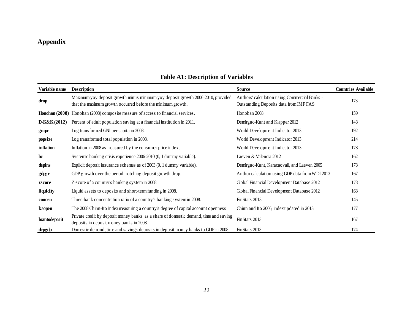## **Appendix**

| Variable name    | <b>Description</b>                                                                                                                             | Source                                                                                  | <b>Countries Available</b> |
|------------------|------------------------------------------------------------------------------------------------------------------------------------------------|-----------------------------------------------------------------------------------------|----------------------------|
| drop             | Maximum yoy deposit growth minus minimum yoy deposit growth 2006-2010, provided<br>that the maximum growth occurred before the minimum growth. | Authors' calculation using Commercial Banks -<br>Outstanding Deposits data from IMF FAS | 173                        |
| Honohan $(2008)$ | Honohan (2008) composite measure of access to financial services.                                                                              | Honohan 2008                                                                            | 159                        |
| $D-K&K(2012)$    | Percent of adult population saving at a financial institution in 2011.                                                                         | Demirguc-Kunt and Klapper 2012                                                          | 148                        |
| gnipc            | Log transformed GNI per capita in 2008.                                                                                                        | World Development Indicator 2013                                                        | 192                        |
| popsize          | Log transformed total population in 2008.                                                                                                      | World Development Indicator 2013                                                        | 214                        |
| inflation        | Inflation in 2008 as measured by the consumer price index.                                                                                     | World Development Indicator 2013                                                        | 178                        |
| $\mathbf{b}$ c   | Systemic banking crisis experience 2006-2010 (0, 1 dummy variable).                                                                            | Laeven & Valencia 2012                                                                  | 162                        |
| depins           | Explicit deposit insurance schemes as of 2003 (0, 1 dummy variable).                                                                           | Demirguc-Kunt, Karacaovali, and Laeven 2005                                             | 178                        |
| gdpgr            | GDP growth over the period matching deposit growth drop.                                                                                       | Author calculation using GDP data from WDI 2013                                         | 167                        |
| zscore           | Z-score of a country's banking system in 2008.                                                                                                 | Global Financial Development Database 2012                                              | 178                        |
| liquidity        | Liquid assets to deposits and short-term funding in 2008.                                                                                      | Global Financial Development Database 2012                                              | 168                        |
| concen           | Three-bank-concentration ratio of a country's banking system in 2008.                                                                          | FinStats 2013                                                                           | 145                        |
| kaopen           | The 2008 Chinn-Ito index measuring a country's degree of capital account openness                                                              | Chinn and Ito 2006, index updated in 2013                                               | 177                        |
| loantodeposit    | Private credit by deposit money banks as a share of domestic demand, time and saving<br>deposits in deposit money banks in 2008.               | FinStats 2013                                                                           | 167                        |
| depgdp           | Domestic demand, time and savings deposits in deposit money banks to GDP in 2008.                                                              | FinStats 2013                                                                           | 174                        |

### **Table A1: Description of Variables**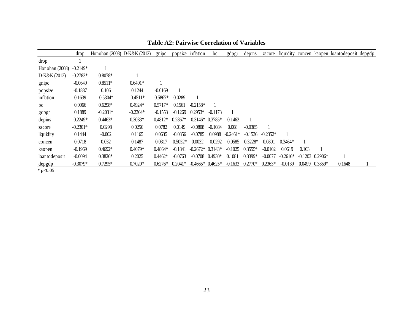|                | drop       | Honohan (2008) D-K&K (2012) |            | gnipc      |            | popsize inflation  | bc                | gdpgr      | depins     | zscore     |            |                               |                    | liquidity concen kaopen loantodeposit depgdp |  |
|----------------|------------|-----------------------------|------------|------------|------------|--------------------|-------------------|------------|------------|------------|------------|-------------------------------|--------------------|----------------------------------------------|--|
| drop           |            |                             |            |            |            |                    |                   |            |            |            |            |                               |                    |                                              |  |
| Honohan (2008) | $-0.2149*$ |                             |            |            |            |                    |                   |            |            |            |            |                               |                    |                                              |  |
| D-K&K (2012)   | $-0.2783*$ | $0.8078*$                   |            |            |            |                    |                   |            |            |            |            |                               |                    |                                              |  |
| gnipc          | $-0.0649$  | $0.8511*$                   | $0.6491*$  |            |            |                    |                   |            |            |            |            |                               |                    |                                              |  |
| popsize        | $-0.1887$  | 0.106                       | 0.1244     | $-0.0169$  |            |                    |                   |            |            |            |            |                               |                    |                                              |  |
| inflation      | 0.1639     | $-0.5304*$                  | $-0.4511*$ | $-0.5867*$ | 0.0289     |                    |                   |            |            |            |            |                               |                    |                                              |  |
| bc             | 0.0066     | $0.6298*$                   | $0.4924*$  | $0.5717*$  | 0.1561     | $-0.2158*$         |                   |            |            |            |            |                               |                    |                                              |  |
| gdpgr          | 0.1889     | $-0.2031*$                  | $-0.2364*$ | $-0.1553$  | $-0.1269$  | $0.2953*$          | $-0.1173$         |            |            |            |            |                               |                    |                                              |  |
| depins         | $-0.2249*$ | $0.4463*$                   | $0.3033*$  | $0.4812*$  | $0.2867*$  | $-0.3146*$ 0.3785* |                   | $-0.1462$  |            |            |            |                               |                    |                                              |  |
| zscore         | $-0.2301*$ | 0.0298                      | 0.0256     | 0.0782     | 0.0149     | $-0.0808$          | $-0.1084$         | 0.008      | $-0.0385$  |            |            |                               |                    |                                              |  |
| liquidity      | 0.1444     | $-0.002$                    | 0.1165     | 0.0635     | $-0.0356$  | $-0.0785$          | 0.0988            | $-0.2461*$ | $-0.1536$  | $-0.2352*$ |            |                               |                    |                                              |  |
| concen         | 0.0718     | 0.032                       | 0.1487     | 0.0317     | $-0.5052*$ | 0.0032             | $-0.0292$         | $-0.0585$  | $-0.3228*$ | 0.0801     | $0.3464*$  |                               |                    |                                              |  |
| kaopen         | $-0.1969$  | $0.4692*$                   | $0.4079*$  | $0.4864*$  | $-0.1841$  | $-0.2672*0.3143*$  |                   | $-0.1025$  | $0.3555*$  | $-0.0102$  | 0.0619     | 0.103                         |                    |                                              |  |
| loantodeposit  | $-0.0094$  | $0.3826*$                   | 0.2025     | $0.4462*$  | $-0.0763$  |                    | $-0.0708$ 0.4930* | 0.1081     | $0.3399*$  | $-0.0077$  | $-0.2616*$ | $-0.1203$ 0.2906 <sup>*</sup> |                    |                                              |  |
| depgdp         | $-0.3079*$ | $0.7295*$                   | $0.7020*$  | $0.6276*$  | $0.2041*$  | $-0.4665*0.4625*$  |                   | $-0.1633$  | $0.2770*$  | $0.2363*$  | $-0.0139$  |                               | $0.0499$ $0.3859*$ | 0.1648                                       |  |

**Table A2: Pairwise Correlation of Variables**

 $*$  p<0.05